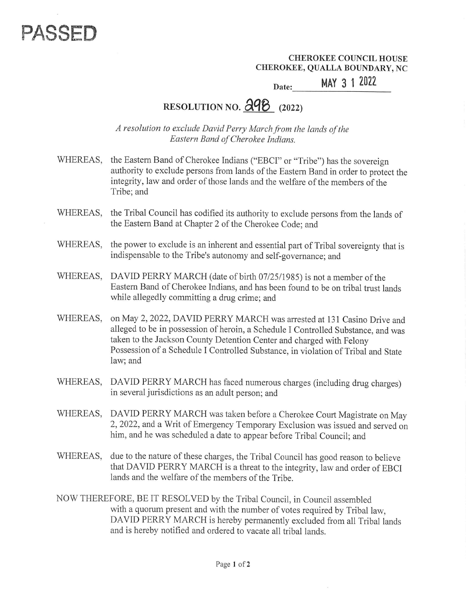

CHEROKEE COUNCIL HOUSE CHEROKEE, QUALLA BOUNDARY, NC Date:

MAY 3 1 2022

## RESOLUTION NO.  $\partial \mathcal{P}$  (2022)

A resolution to exclude David Perry March from the lands of the Eastern Band of Cherokee Indians.

- WHEREAS, the Eastern Band of Cherokee Indians ("EBCI" or "Tribe") has the sovereign authority to exclude persons from lands of the Eastern Band in order to protect the integrity, law and order of those lands and the welfare of the members of the Tribe; and
- WHEREAS, the Tribal Council has codified its authority to exclude persons from the lands of the Eastern Band at Chapter 2 of the Cherokee Code; and
- WHEREAS, the power to exclude is an inherent and essential part of Tribal sovereignty that is indispensable to the Tribe's autonomy and self-governance; and
- WHEREAS, DAVID PERRY MARCH (date of birth 07/25/1985) is not a member of the Eastern Band of Cherokee Indians, and has been found to be on tribal trust lands while allegedly committing a drug crime; and
- WHEREAS, on May 2, 2022, DAVID PERRY MARCH was arrested at 131 Casino Drive and alleged to be in possession of heroin, a Schedule I Controlled Substance, and was taken to the Jackson County Detention Center and charged with Felony Possession of a Schedule I Controlled Substance, in violation of Tribal and State law; and
- WHEREAS, DAVID PERRY MARCH has faced numerous charges (including drug charges) in several jurisdictions as an adult person; and
- WHEREAS, DAVID PERRY MARCH was taken before a Cherokee Court Magistrate on May 2, 2022, and a Writ of Emergency Temporary Exclusion was issued and served on him, and he was scheduled a date to appear before Tribal Council; and
- WHEREAS, due to the nature of these charges, the Tribal Council has good reason to believe that DAVID PERRY MARCH is a threat to the integrity, law and order of EBCI that DAVID PERRY MARCH is a threat to the integrity, law and order of EBCI lands and the welfare of the members of the Tribe.
- NOW THEREFORE, BE IT RESOLVED by the Tribal Council, in Council assembled with a quorum present and with the number of votes required by Tribal law, DAVID PERRY MARCH is hereby permanently excluded from all Tribal lands and is hereby notified and ordered to vacate all tribal lands.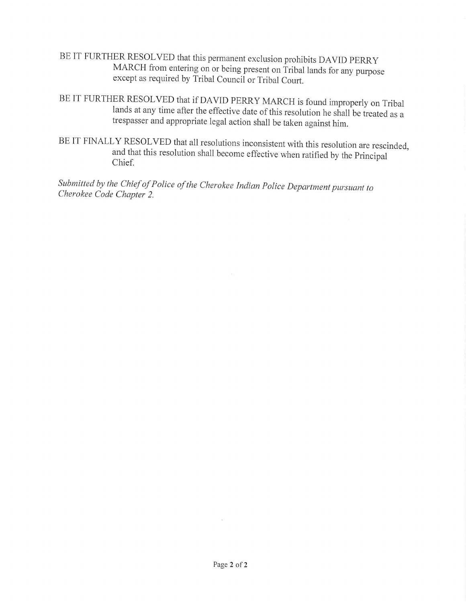- BE IT FURTHER RESOLVED that this permanent exclusion prohibits DAVID PERRY<br>MARCH from entering on or being present on Tribal lands for any purpose<br>except as required by Tribal Council or Tribal Court.
- BE IT FURTHER RESOLVED that if DAVID PERRY MARCH is found improperly on Tribal<br>lands at any time after the effective date of this resolution he shall be treated as a<br>trespasser and appropriate legal action shall be taken a
- BE IT FINALLY RESOLVED that all resolutions inconsistent with this resolution are rescinded, and that this resolution shall become effective when ratified by the Principal Chief.

Submitted by the Chief of Police of the Cherokee Indian Police Department pursuant to Cherokee Code Chapter 2.